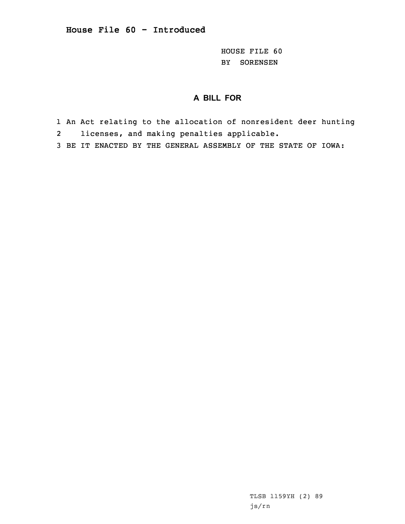HOUSE FILE 60 BY SORENSEN

## **A BILL FOR**

- 1 An Act relating to the allocation of nonresident deer hunting 2licenses, and making penalties applicable.
- 3 BE IT ENACTED BY THE GENERAL ASSEMBLY OF THE STATE OF IOWA:

TLSB 1159YH (2) 89 js/rn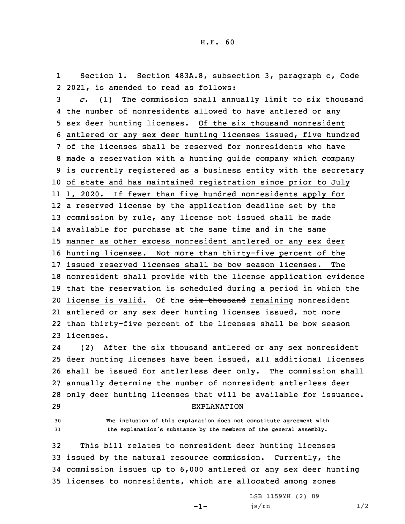1 Section 1. Section 483A.8, subsection 3, paragraph c, Code 2 2021, is amended to read as follows:

 *c.* (1) The commission shall annually limit to six thousand the number of nonresidents allowed to have antlered or any sex deer hunting licenses. Of the six thousand nonresident antlered or any sex deer hunting licenses issued, five hundred of the licenses shall be reserved for nonresidents who have made <sup>a</sup> reservation with <sup>a</sup> hunting guide company which company is currently registered as <sup>a</sup> business entity with the secretary of state and has maintained registration since prior to July 1, 2020. If fewer than five hundred nonresidents apply for <sup>a</sup> reserved license by the application deadline set by the commission by rule, any license not issued shall be made available for purchase at the same time and in the same manner as other excess nonresident antlered or any sex deer hunting licenses. Not more than thirty-five percent of the issued reserved licenses shall be bow season licenses. The nonresident shall provide with the license application evidence that the reservation is scheduled during <sup>a</sup> period in which the 20 license is valid. Of the six thousand remaining nonresident antlered or any sex deer hunting licenses issued, not more than thirty-five percent of the licenses shall be bow season licenses.

24 (2) After the six thousand antlered or any sex nonresident deer hunting licenses have been issued, all additional licenses shall be issued for antlerless deer only. The commission shall annually determine the number of nonresident antlerless deer only deer hunting licenses that will be available for issuance. EXPLANATION

30 **The inclusion of this explanation does not constitute agreement with** <sup>31</sup> **the explanation's substance by the members of the general assembly.**

 This bill relates to nonresident deer hunting licenses issued by the natural resource commission. Currently, the commission issues up to 6,000 antlered or any sex deer hunting licenses to nonresidents, which are allocated among zones

-1-

LSB 1159YH (2) 89 js/rn 1/2